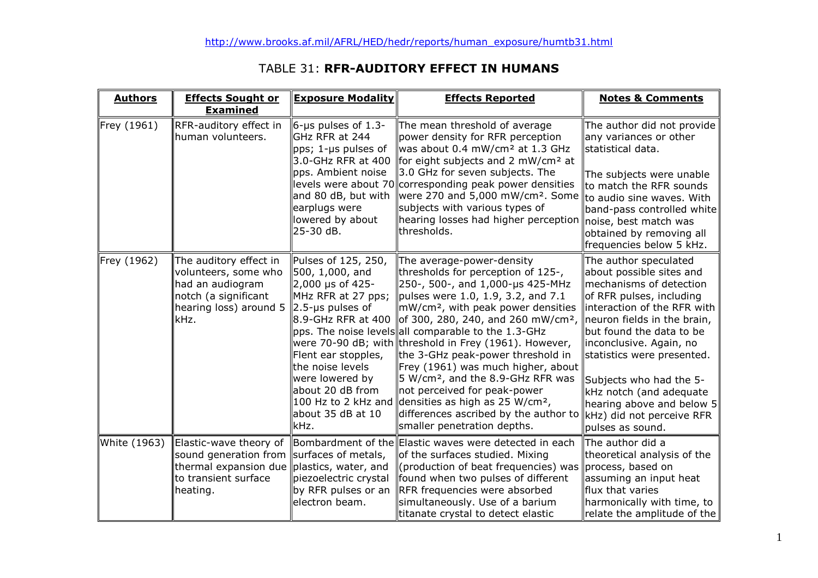# TABLE 31: RFR-AUDITORY EFFECT IN HUMANS

| <b>Authors</b> | <b>Effects Sought or</b><br><b>Examined</b>                                                                                       | <b>Exposure Modality</b>                                                                                                                                                                                                                     | <b>Effects Reported</b>                                                                                                                                                                                                                                                                                                                                                                                                                                                                                                                                                                                                                                               | <b>Notes &amp; Comments</b>                                                                                                                                                                                                                                                                                                                                                                     |
|----------------|-----------------------------------------------------------------------------------------------------------------------------------|----------------------------------------------------------------------------------------------------------------------------------------------------------------------------------------------------------------------------------------------|-----------------------------------------------------------------------------------------------------------------------------------------------------------------------------------------------------------------------------------------------------------------------------------------------------------------------------------------------------------------------------------------------------------------------------------------------------------------------------------------------------------------------------------------------------------------------------------------------------------------------------------------------------------------------|-------------------------------------------------------------------------------------------------------------------------------------------------------------------------------------------------------------------------------------------------------------------------------------------------------------------------------------------------------------------------------------------------|
| Frey (1961)    | RFR-auditory effect in<br>lhuman volunteers.                                                                                      | $6$ -µs pulses of 1.3-<br>GHz RFR at 244<br>pps; 1-µs pulses of<br>3.0-GHz RFR at 400<br>pps. Ambient noise<br>and 80 dB, but with<br>earplugs were<br>lowered by about<br>25-30 dB.                                                         | The mean threshold of average<br>power density for RFR perception<br>was about 0.4 mW/cm <sup>2</sup> at 1.3 GHz<br>for eight subjects and 2 mW/cm <sup>2</sup> at<br>3.0 GHz for seven subjects. The<br>levels were about 70 corresponding peak power densities<br>were 270 and 5,000 mW/cm <sup>2</sup> . Some<br>subjects with various types of<br>hearing losses had higher perception $\parallel$ noise, best match was<br>thresholds.                                                                                                                                                                                                                           | The author did not provide<br>any variances or other<br>statistical data.<br>The subjects were unable<br>to match the RFR sounds<br>to audio sine waves. With<br>band-pass controlled white<br>obtained by removing all<br>frequencies below 5 kHz.                                                                                                                                             |
| Frey (1962)    | The auditory effect in<br>volunteers, some who<br>had an audiogram<br>notch (a significant<br>hearing loss) around 5<br>kHz.      | Pulses of 125, 250,<br>500, 1,000, and<br>2,000 µs of 425-<br>MHz RFR at 27 pps;<br>$2.5$ -µs pulses of<br>8.9-GHz RFR at 400<br>Flent ear stopples,<br>the noise levels<br>were lowered by<br>about 20 dB from<br>about 35 dB at 10<br>kHz. | The average-power-density<br>thresholds for perception of 125-,<br>250-, 500-, and 1,000-us 425-MHz<br>pulses were 1.0, 1.9, 3.2, and 7.1<br>mW/cm <sup>2</sup> , with peak power densities<br>of 300, 280, 240, and 260 mW/cm <sup>2</sup> ,<br>pps. The noise levels all comparable to the 1.3-GHz<br>were 70-90 dB; with threshold in Frey (1961). However,<br>the 3-GHz peak-power threshold in<br>Frey (1961) was much higher, about<br>5 W/cm <sup>2</sup> , and the 8.9-GHz RFR was<br>not perceived for peak-power<br>100 Hz to 2 kHz and densities as high as 25 W/cm <sup>2</sup> ,<br>differences ascribed by the author to<br>smaller penetration depths. | The author speculated<br>about possible sites and<br>mechanisms of detection<br>of RFR pulses, including<br>interaction of the RFR with<br>neuron fields in the brain,<br>but found the data to be<br>inconclusive. Again, no<br>statistics were presented.<br>Subjects who had the 5-<br>kHz notch (and adequate<br>hearing above and below 5<br>kHz) did not perceive RFR<br>pulses as sound. |
| White (1963)   | Elastic-wave theory of<br>sound generation from<br>thermal expansion due plastics, water, and<br>to transient surface<br>heating. | surfaces of metals,<br>piezoelectric crystal<br>by RFR pulses or an<br>electron beam.                                                                                                                                                        | Bombardment of the Elastic waves were detected in each<br>of the surfaces studied. Mixing<br>(production of beat frequencies) was<br>found when two pulses of different<br>RFR frequencies were absorbed<br>simultaneously. Use of a barium<br>titanate crystal to detect elastic                                                                                                                                                                                                                                                                                                                                                                                     | The author did a<br>theoretical analysis of the<br>process, based on<br>assuming an input heat<br>flux that varies<br>harmonically with time, to<br>relate the amplitude of the                                                                                                                                                                                                                 |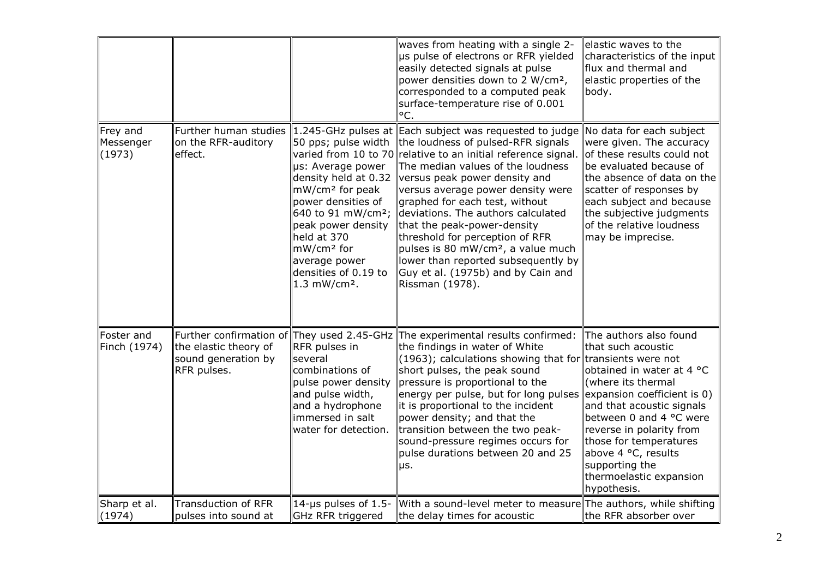|                                 |                                                                                                           |                                                                                                                                                                                                                                                 | waves from heating with a single 2-<br>us pulse of electrons or RFR yielded<br>easily detected signals at pulse<br>power densities down to 2 W/cm <sup>2</sup> ,<br>corresponded to a computed peak<br>surface-temperature rise of 0.001<br>°C.                                                                                                                                                                                                                                                                                                                                                      | elastic waves to the<br>characteristics of the input<br>flux and thermal and<br>elastic properties of the<br>body.                                                                                                                                                                                                              |
|---------------------------------|-----------------------------------------------------------------------------------------------------------|-------------------------------------------------------------------------------------------------------------------------------------------------------------------------------------------------------------------------------------------------|------------------------------------------------------------------------------------------------------------------------------------------------------------------------------------------------------------------------------------------------------------------------------------------------------------------------------------------------------------------------------------------------------------------------------------------------------------------------------------------------------------------------------------------------------------------------------------------------------|---------------------------------------------------------------------------------------------------------------------------------------------------------------------------------------------------------------------------------------------------------------------------------------------------------------------------------|
| Frey and<br>Messenger<br>(1973) | Further human studies<br>on the RFR-auditory<br>effect.                                                   | 50 pps; pulse width<br>µs: Average power<br>density held at 0.32<br>mW/cm <sup>2</sup> for peak<br>power densities of<br>peak power density<br>held at 370<br>mW/cm <sup>2</sup> for<br>average power<br>densities of 0.19 to<br>1.3 $mW/cm2$ . | 1.245-GHz pulses at Each subject was requested to judge<br>the loudness of pulsed-RFR signals<br>varied from 10 to 70 relative to an initial reference signal.<br>The median values of the loudness<br>versus peak power density and<br>versus average power density were<br>graphed for each test, without<br>640 to 91 mW/cm <sup>2</sup> ; deviations. The authors calculated<br>that the peak-power-density<br>threshold for perception of RFR<br>pulses is 80 mW/cm <sup>2</sup> , a value much<br>lower than reported subsequently by<br>Guy et al. (1975b) and by Cain and<br>Rissman (1978). | No data for each subject<br>were given. The accuracy<br>of these results could not<br>be evaluated because of<br>the absence of data on the<br>scatter of responses by<br>each subject and because<br>the subjective judgments<br>of the relative loudness<br>may be imprecise.                                                 |
| Foster and<br>Finch (1974)      | Further confirmation of They used 2.45-GHz<br>the elastic theory of<br>sound generation by<br>RFR pulses. | RFR pulses in<br>several<br>combinations of<br>pulse power density<br>and pulse width,<br>and a hydrophone<br>immersed in salt<br>water for detection.                                                                                          | The experimental results confirmed:<br>the findings in water of White<br>$(1963)$ ; calculations showing that for transients were not<br>short pulses, the peak sound<br>pressure is proportional to the<br>energy per pulse, but for long pulses<br>it is proportional to the incident<br>power density; and that the<br>transition between the two peak-<br>sound-pressure regimes occurs for<br>pulse durations between 20 and 25<br>μs.                                                                                                                                                          | The authors also found<br>that such acoustic<br>obtained in water at 4 °C<br>(where its thermal<br>expansion coefficient is 0)<br>and that acoustic signals<br>between 0 and 4 °C were<br>reverse in polarity from<br>those for temperatures<br>above 4 °C, results<br>supporting the<br>thermoelastic expansion<br>hypothesis. |
| Sharp et al.<br>(1974)          | <b>Transduction of RFR</b><br>pulses into sound at                                                        | 14-us pulses of 1.5-<br>GHz RFR triggered                                                                                                                                                                                                       | With a sound-level meter to measure The authors, while shifting<br>the delay times for acoustic                                                                                                                                                                                                                                                                                                                                                                                                                                                                                                      | the RFR absorber over                                                                                                                                                                                                                                                                                                           |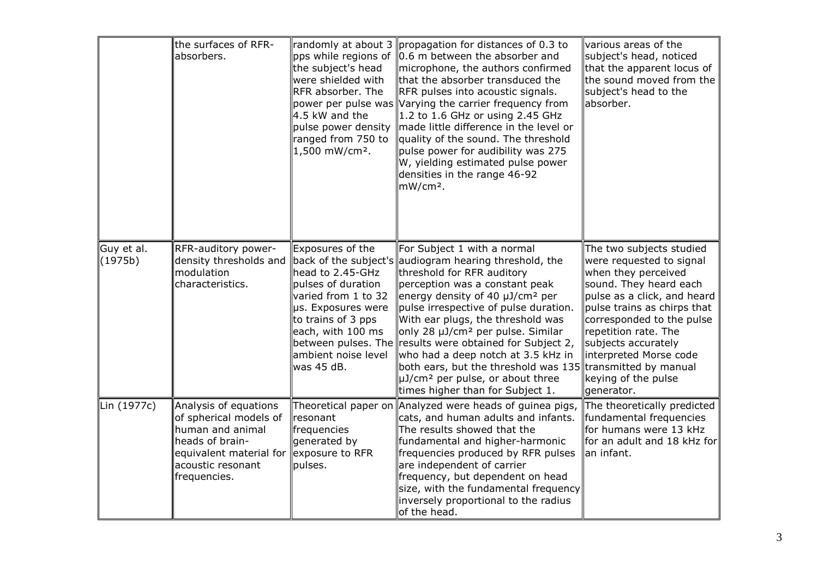|                       | the surfaces of RFR-<br>labsorbers.                                                                                                                    | pps while regions of<br>the subject's head<br>were shielded with<br>RFR absorber. The<br>4.5 kW and the<br>pulse power density<br>ranged from 750 to<br>1,500 mW/cm <sup>2</sup> .      | randomly at about 3 propagation for distances of 0.3 to<br>0.6 m between the absorber and<br>microphone, the authors confirmed<br>that the absorber transduced the<br>RFR pulses into acoustic signals.<br>power per pulse was Varying the carrier frequency from<br>1.2 to 1.6 GHz or using 2.45 GHz<br>made little difference in the level or<br>quality of the sound. The threshold<br>pulse power for audibility was 275<br>W, yielding estimated pulse power<br>densities in the range 46-92<br>mW/cm <sup>2</sup> .                                         | various areas of the<br>subject's head, noticed<br>that the apparent locus of<br>the sound moved from the<br>subject's head to the<br>absorber.                                                                                                                                                                                         |
|-----------------------|--------------------------------------------------------------------------------------------------------------------------------------------------------|-----------------------------------------------------------------------------------------------------------------------------------------------------------------------------------------|-------------------------------------------------------------------------------------------------------------------------------------------------------------------------------------------------------------------------------------------------------------------------------------------------------------------------------------------------------------------------------------------------------------------------------------------------------------------------------------------------------------------------------------------------------------------|-----------------------------------------------------------------------------------------------------------------------------------------------------------------------------------------------------------------------------------------------------------------------------------------------------------------------------------------|
| Guy et al.<br>(1975b) | RFR-auditory power-<br>density thresholds and<br>modulation<br>characteristics.                                                                        | Exposures of the<br>head to 2.45-GHz<br>pulses of duration<br>varied from 1 to 32<br>µs. Exposures were<br>to trains of 3 pps<br>each, with 100 ms<br>ambient noise level<br>was 45 dB. | For Subject 1 with a normal<br>back of the subject's audiogram hearing threshold, the<br>threshold for RFR auditory<br>perception was a constant peak<br>energy density of 40 µJ/cm <sup>2</sup> per<br>pulse irrespective of pulse duration.<br>With ear plugs, the threshold was<br>only 28 µJ/cm <sup>2</sup> per pulse. Similar<br>between pulses. The results were obtained for Subject 2,<br>who had a deep notch at 3.5 kHz in<br>both ears, but the threshold was 135<br>µJ/cm <sup>2</sup> per pulse, or about three<br>times higher than for Subject 1. | The two subjects studied<br>were requested to signal<br>when they perceived<br>sound. They heard each<br>pulse as a click, and heard<br>pulse trains as chirps that<br>corresponded to the pulse<br>repetition rate. The<br>subjects accurately<br>interpreted Morse code<br>transmitted by manual<br>keying of the pulse<br>generator. |
| Lin (1977c)           | Analysis of equations<br>of spherical models of<br>human and animal<br>heads of brain-<br>equivalent material for<br>acoustic resonant<br>frequencies. | resonant<br>frequencies<br>generated by<br>exposure to RFR<br>pulses.                                                                                                                   | Theoretical paper on Analyzed were heads of guinea pigs,<br>cats, and human adults and infants.<br>The results showed that the<br>fundamental and higher-harmonic<br>frequencies produced by RFR pulses<br>are independent of carrier<br>frequency, but dependent on head<br>size, with the fundamental frequency<br>inversely proportional to the radius<br>of the head.                                                                                                                                                                                         | The theoretically predicted<br>fundamental frequencies<br>for humans were 13 kHz<br>for an adult and 18 kHz for<br>an infant.                                                                                                                                                                                                           |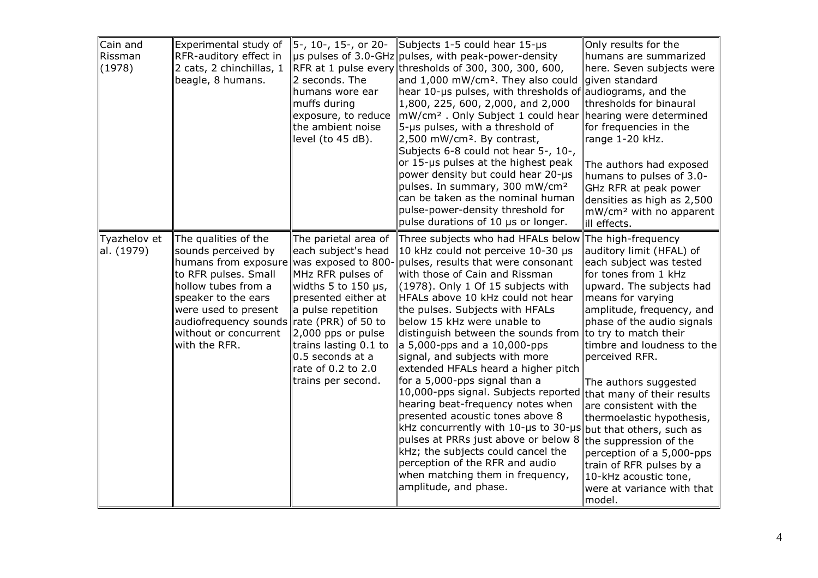| Cain and<br>Rissman<br>(1978) | Experimental study of<br>RFR-auditory effect in<br>$\vert$ 2 cats, 2 chinchillas, 1<br>beagle, 8 humans.                                                                                                                                                                         | 5-, 10-, 15-, or 20-<br>2 seconds. The<br>humans wore ear<br>muffs during<br>exposure, to reduce<br>the ambient noise<br>level (to 45 dB).                                                                                                                       | Subjects 1-5 could hear 15-µs<br>us pulses of 3.0-GHz  pulses, with peak-power-density<br>RFR at 1 pulse every thresholds of 300, 300, 300, 600,<br>and 1,000 mW/cm <sup>2</sup> . They also could<br>hear 10-µs pulses, with thresholds of audiograms, and the<br>$\parallel$ 1,800, 225, 600, 2,000, and 2,000<br>mW/cm <sup>2</sup> . Only Subject 1 could hear hearing were determined<br>5-us pulses, with a threshold of<br>$\vert$ 2,500 mW/cm <sup>2</sup> . By contrast,<br>Subjects 6-8 could not hear 5-, 10-,<br>or 15-us pulses at the highest peak<br>power density but could hear 20-µs<br>pulses. In summary, 300 mW/cm <sup>2</sup><br>can be taken as the nominal human<br>pulse-power-density threshold for<br>pulse durations of 10 µs or longer.                                                                                                                                  | Only results for the<br>humans are summarized<br>here. Seven subjects were<br>given standard<br>thresholds for binaural<br>for frequencies in the<br>range 1-20 kHz.<br>The authors had exposed<br>humans to pulses of 3.0-<br>GHz RFR at peak power<br>densities as high as 2,500<br>mW/cm <sup>2</sup> with no apparent<br>ill effects.                                                                                                                                                                                   |
|-------------------------------|----------------------------------------------------------------------------------------------------------------------------------------------------------------------------------------------------------------------------------------------------------------------------------|------------------------------------------------------------------------------------------------------------------------------------------------------------------------------------------------------------------------------------------------------------------|--------------------------------------------------------------------------------------------------------------------------------------------------------------------------------------------------------------------------------------------------------------------------------------------------------------------------------------------------------------------------------------------------------------------------------------------------------------------------------------------------------------------------------------------------------------------------------------------------------------------------------------------------------------------------------------------------------------------------------------------------------------------------------------------------------------------------------------------------------------------------------------------------------|-----------------------------------------------------------------------------------------------------------------------------------------------------------------------------------------------------------------------------------------------------------------------------------------------------------------------------------------------------------------------------------------------------------------------------------------------------------------------------------------------------------------------------|
| Tyazhelov et<br>al. (1979)    | The qualities of the<br>sounds perceived by<br>humans from exposure was exposed to 800<br>to RFR pulses. Small<br>hollow tubes from a<br>speaker to the ears<br>were used to present<br>audiofrequency sounds $\ $ rate (PRR) of 50 to<br>without or concurrent<br>with the RFR. | The parietal area of<br>each subject's head<br>MHz RFR pulses of<br>widths 5 to 150 $\mu$ s,<br>presented either at<br>a pulse repetition<br>2,000 pps or pulse<br>trains lasting 0.1 to<br>$\vert$ 0.5 seconds at a<br>rate of 0.2 to 2.0<br>trains per second. | Three subjects who had HFALs below<br>10 kHz could not perceive 10-30 µs<br>pulses, results that were consonant<br>with those of Cain and Rissman<br>$(1978)$ . Only 1 Of 15 subjects with<br>HFALs above 10 kHz could not hear<br>the pulses. Subjects with HFALs<br>below 15 kHz were unable to<br>distinguish between the sounds from<br>$\ $ a 5,000-pps and a 10,000-pps<br>signal, and subjects with more<br>extended HFALs heard a higher pitch<br>for a 5,000-pps signal than a<br>$\ $ 10,000-pps signal. Subjects reported $\ $ that many of their results<br>hearing beat-frequency notes when<br>presented acoustic tones above 8<br>$\ $ kHz concurrently with 10-µs to 30-µs $\ $ but that others, such as<br>pulses at PRRs just above or below 8<br>kHz; the subjects could cancel the<br>perception of the RFR and audio<br>when matching them in frequency,<br>amplitude, and phase. | The high-frequency<br>auditory limit (HFAL) of<br>each subject was tested<br>for tones from 1 kHz<br>upward. The subjects had<br>means for varying<br>amplitude, frequency, and<br>phase of the audio signals<br>to try to match their<br>timbre and loudness to the<br>perceived RFR.<br>The authors suggested<br>are consistent with the<br>thermoelastic hypothesis,<br>the suppression of the<br>perception of a 5,000-pps<br>train of RFR pulses by a<br>10-kHz acoustic tone,<br>were at variance with that<br>model. |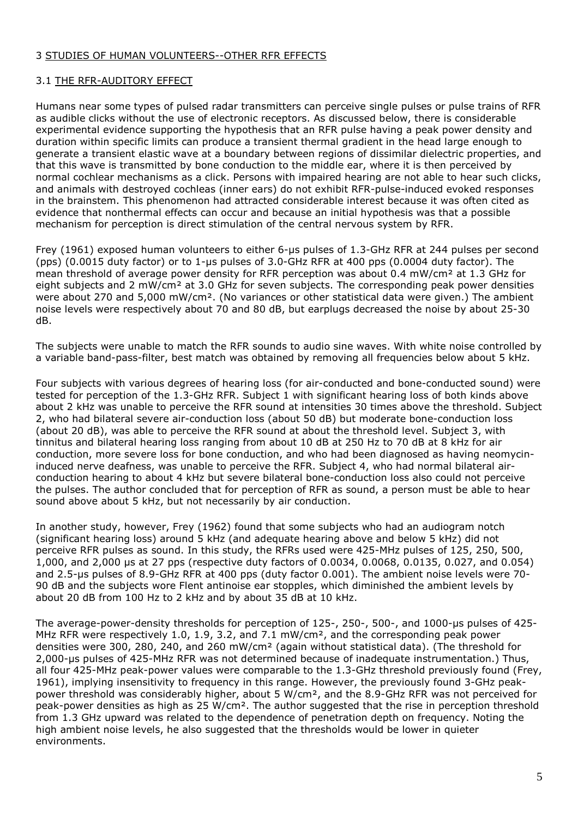## 3 STUDIES OF HUMAN VOLUNTEERS--OTHER RFR EFFECTS

## 3.1 THE RFR-AUDITORY EFFECT

Humans near some types of pulsed radar transmitters can perceive single pulses or pulse trains of RFR as audible clicks without the use of electronic receptors. As discussed below, there is considerable experimental evidence supporting the hypothesis that an RFR pulse having a peak power density and duration within specific limits can produce a transient thermal gradient in the head large enough to generate a transient elastic wave at a boundary between regions of dissimilar dielectric properties, and that this wave is transmitted by bone conduction to the middle ear, where it is then perceived by normal cochlear mechanisms as a click. Persons with impaired hearing are not able to hear such clicks, and animals with destroyed cochleas (inner ears) do not exhibit RFR-pulse-induced evoked responses in the brainstem. This phenomenon had attracted considerable interest because it was often cited as evidence that nonthermal effects can occur and because an initial hypothesis was that a possible mechanism for perception is direct stimulation of the central nervous system by RFR.

Frey (1961) exposed human volunteers to either 6-µs pulses of 1.3-GHz RFR at 244 pulses per second (pps) (0.0015 duty factor) or to 1-µs pulses of 3.0-GHz RFR at 400 pps (0.0004 duty factor). The mean threshold of average power density for RFR perception was about 0.4 mW/cm<sup>2</sup> at 1.3 GHz for eight subjects and 2 mW/cm<sup>2</sup> at 3.0 GHz for seven subjects. The corresponding peak power densities were about 270 and 5,000 mW/cm². (No variances or other statistical data were given.) The ambient noise levels were respectively about 70 and 80 dB, but earplugs decreased the noise by about 25-30 dB.

The subjects were unable to match the RFR sounds to audio sine waves. With white noise controlled by a variable band-pass-filter, best match was obtained by removing all frequencies below about 5 kHz.

Four subjects with various degrees of hearing loss (for air-conducted and bone-conducted sound) were tested for perception of the 1.3-GHz RFR. Subject 1 with significant hearing loss of both kinds above about 2 kHz was unable to perceive the RFR sound at intensities 30 times above the threshold. Subject 2, who had bilateral severe air-conduction loss (about 50 dB) but moderate bone-conduction loss (about 20 dB), was able to perceive the RFR sound at about the threshold level. Subject 3, with tinnitus and bilateral hearing loss ranging from about 10 dB at 250 Hz to 70 dB at 8 kHz for air conduction, more severe loss for bone conduction, and who had been diagnosed as having neomycininduced nerve deafness, was unable to perceive the RFR. Subject 4, who had normal bilateral airconduction hearing to about 4 kHz but severe bilateral bone-conduction loss also could not perceive the pulses. The author concluded that for perception of RFR as sound, a person must be able to hear sound above about 5 kHz, but not necessarily by air conduction.

In another study, however, Frey (1962) found that some subjects who had an audiogram notch (significant hearing loss) around 5 kHz (and adequate hearing above and below 5 kHz) did not perceive RFR pulses as sound. In this study, the RFRs used were 425-MHz pulses of 125, 250, 500, 1,000, and 2,000 µs at 27 pps (respective duty factors of 0.0034, 0.0068, 0.0135, 0.027, and 0.054) and 2.5-µs pulses of 8.9-GHz RFR at 400 pps (duty factor 0.001). The ambient noise levels were 70- 90 dB and the subjects wore Flent antinoise ear stopples, which diminished the ambient levels by about 20 dB from 100 Hz to 2 kHz and by about 35 dB at 10 kHz.

The average-power-density thresholds for perception of 125-, 250-, 500-, and 1000-µs pulses of 425- MHz RFR were respectively 1.0, 1.9, 3.2, and 7.1 mW/cm<sup>2</sup>, and the corresponding peak power densities were 300, 280, 240, and 260 mW/cm² (again without statistical data). (The threshold for 2,000-µs pulses of 425-MHz RFR was not determined because of inadequate instrumentation.) Thus, all four 425-MHz peak-power values were comparable to the 1.3-GHz threshold previously found (Frey, 1961), implying insensitivity to frequency in this range. However, the previously found 3-GHz peakpower threshold was considerably higher, about 5 W/cm², and the 8.9-GHz RFR was not perceived for peak-power densities as high as 25 W/cm². The author suggested that the rise in perception threshold from 1.3 GHz upward was related to the dependence of penetration depth on frequency. Noting the high ambient noise levels, he also suggested that the thresholds would be lower in quieter environments.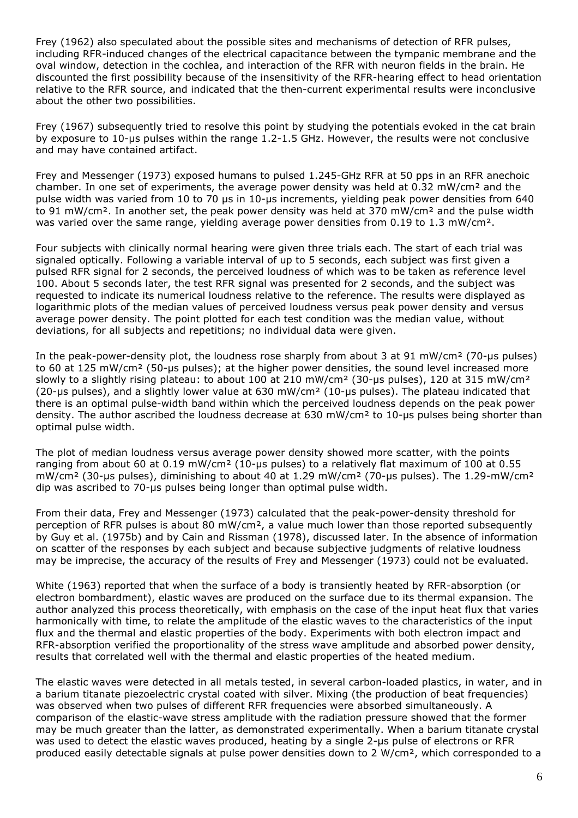Frey (1962) also speculated about the possible sites and mechanisms of detection of RFR pulses, including RFR-induced changes of the electrical capacitance between the tympanic membrane and the oval window, detection in the cochlea, and interaction of the RFR with neuron fields in the brain. He discounted the first possibility because of the insensitivity of the RFR-hearing effect to head orientation relative to the RFR source, and indicated that the then-current experimental results were inconclusive about the other two possibilities.

Frey (1967) subsequently tried to resolve this point by studying the potentials evoked in the cat brain by exposure to 10-µs pulses within the range 1.2-1.5 GHz. However, the results were not conclusive and may have contained artifact.

Frey and Messenger (1973) exposed humans to pulsed 1.245-GHz RFR at 50 pps in an RFR anechoic chamber. In one set of experiments, the average power density was held at 0.32 mW/cm² and the pulse width was varied from 10 to 70 µs in 10-µs increments, yielding peak power densities from 640 to 91 mW/cm<sup>2</sup>. In another set, the peak power density was held at 370 mW/cm<sup>2</sup> and the pulse width was varied over the same range, yielding average power densities from 0.19 to 1.3 mW/cm<sup>2</sup>.

Four subjects with clinically normal hearing were given three trials each. The start of each trial was signaled optically. Following a variable interval of up to 5 seconds, each subject was first given a pulsed RFR signal for 2 seconds, the perceived loudness of which was to be taken as reference level 100. About 5 seconds later, the test RFR signal was presented for 2 seconds, and the subject was requested to indicate its numerical loudness relative to the reference. The results were displayed as logarithmic plots of the median values of perceived loudness versus peak power density and versus average power density. The point plotted for each test condition was the median value, without deviations, for all subjects and repetitions; no individual data were given.

In the peak-power-density plot, the loudness rose sharply from about 3 at 91 mW/cm<sup>2</sup> (70-us pulses) to 60 at 125 mW/cm² (50-µs pulses); at the higher power densities, the sound level increased more slowly to a slightly rising plateau: to about 100 at 210 mW/cm<sup>2</sup> (30-us pulses), 120 at 315 mW/cm<sup>2</sup> (20-µs pulses), and a slightly lower value at 630 mW/cm<sup>2</sup> (10-µs pulses). The plateau indicated that there is an optimal pulse-width band within which the perceived loudness depends on the peak power density. The author ascribed the loudness decrease at 630 mW/cm<sup>2</sup> to 10-us pulses being shorter than optimal pulse width.

The plot of median loudness versus average power density showed more scatter, with the points ranging from about 60 at 0.19 mW/cm² (10-µs pulses) to a relatively flat maximum of 100 at 0.55 mW/cm² (30-µs pulses), diminishing to about 40 at 1.29 mW/cm² (70-µs pulses). The 1.29-mW/cm² dip was ascribed to 70-µs pulses being longer than optimal pulse width.

From their data, Frey and Messenger (1973) calculated that the peak-power-density threshold for perception of RFR pulses is about 80 mW/cm<sup>2</sup>, a value much lower than those reported subsequently by Guy et al. (1975b) and by Cain and Rissman (1978), discussed later. In the absence of information on scatter of the responses by each subject and because subjective judgments of relative loudness may be imprecise, the accuracy of the results of Frey and Messenger (1973) could not be evaluated.

White (1963) reported that when the surface of a body is transiently heated by RFR-absorption (or electron bombardment), elastic waves are produced on the surface due to its thermal expansion. The author analyzed this process theoretically, with emphasis on the case of the input heat flux that varies harmonically with time, to relate the amplitude of the elastic waves to the characteristics of the input flux and the thermal and elastic properties of the body. Experiments with both electron impact and RFR-absorption verified the proportionality of the stress wave amplitude and absorbed power density, results that correlated well with the thermal and elastic properties of the heated medium.

The elastic waves were detected in all metals tested, in several carbon-loaded plastics, in water, and in a barium titanate piezoelectric crystal coated with silver. Mixing (the production of beat frequencies) was observed when two pulses of different RFR frequencies were absorbed simultaneously. A comparison of the elastic-wave stress amplitude with the radiation pressure showed that the former may be much greater than the latter, as demonstrated experimentally. When a barium titanate crystal was used to detect the elastic waves produced, heating by a single 2-us pulse of electrons or RFR produced easily detectable signals at pulse power densities down to 2 W/cm², which corresponded to a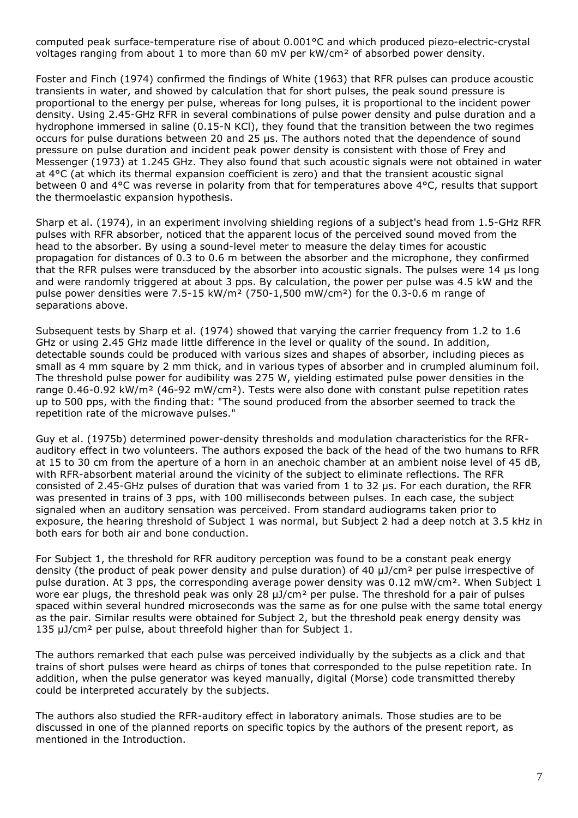computed peak surface-temperature rise of about 0.001°C and which produced piezo-electric-crystal voltages ranging from about 1 to more than 60 mV per kW/cm² of absorbed power density.

Foster and Finch (1974) confirmed the findings of White (1963) that RFR pulses can produce acoustic transients in water, and showed by calculation that for short pulses, the peak sound pressure is proportional to the energy per pulse, whereas for long pulses, it is proportional to the incident power density. Using 2.45-GHz RFR in several combinations of pulse power density and pulse duration and a hydrophone immersed in saline (0.15-N KCl), they found that the transition between the two regimes occurs for pulse durations between 20 and 25 µs. The authors noted that the dependence of sound pressure on pulse duration and incident peak power density is consistent with those of Frey and Messenger (1973) at 1.245 GHz. They also found that such acoustic signals were not obtained in water at 4°C (at which its thermal expansion coefficient is zero) and that the transient acoustic signal between 0 and 4°C was reverse in polarity from that for temperatures above 4°C, results that support the thermoelastic expansion hypothesis.

Sharp et al. (1974), in an experiment involving shielding regions of a subject's head from 1.5-GHz RFR pulses with RFR absorber, noticed that the apparent locus of the perceived sound moved from the head to the absorber. By using a sound-level meter to measure the delay times for acoustic propagation for distances of 0.3 to 0.6 m between the absorber and the microphone, they confirmed that the RFR pulses were transduced by the absorber into acoustic signals. The pulses were 14 µs long and were randomly triggered at about 3 pps. By calculation, the power per pulse was 4.5 kW and the pulse power densities were 7.5-15 kW/m² (750-1,500 mW/cm²) for the 0.3-0.6 m range of separations above.

Subsequent tests by Sharp et al. (1974) showed that varying the carrier frequency from 1.2 to 1.6 GHz or using 2.45 GHz made little difference in the level or quality of the sound. In addition, detectable sounds could be produced with various sizes and shapes of absorber, including pieces as small as 4 mm square by 2 mm thick, and in various types of absorber and in crumpled aluminum foil. The threshold pulse power for audibility was 275 W, yielding estimated pulse power densities in the range 0.46-0.92 kW/m² (46-92 mW/cm²). Tests were also done with constant pulse repetition rates up to 500 pps, with the finding that: "The sound produced from the absorber seemed to track the repetition rate of the microwave pulses."

Guy et al. (1975b) determined power-density thresholds and modulation characteristics for the RFRauditory effect in two volunteers. The authors exposed the back of the head of the two humans to RFR at 15 to 30 cm from the aperture of a horn in an anechoic chamber at an ambient noise level of 45 dB, with RFR-absorbent material around the vicinity of the subject to eliminate reflections. The RFR consisted of 2.45-GHz pulses of duration that was varied from 1 to 32 µs. For each duration, the RFR was presented in trains of 3 pps, with 100 milliseconds between pulses. In each case, the subject signaled when an auditory sensation was perceived. From standard audiograms taken prior to exposure, the hearing threshold of Subject 1 was normal, but Subject 2 had a deep notch at 3.5 kHz in both ears for both air and bone conduction.

For Subject 1, the threshold for RFR auditory perception was found to be a constant peak energy density (the product of peak power density and pulse duration) of 40 µJ/cm² per pulse irrespective of pulse duration. At 3 pps, the corresponding average power density was 0.12 mW/cm². When Subject 1 wore ear plugs, the threshold peak was only 28  $\mu$ J/cm<sup>2</sup> per pulse. The threshold for a pair of pulses spaced within several hundred microseconds was the same as for one pulse with the same total energy as the pair. Similar results were obtained for Subject 2, but the threshold peak energy density was 135 µJ/cm² per pulse, about threefold higher than for Subject 1.

The authors remarked that each pulse was perceived individually by the subjects as a click and that trains of short pulses were heard as chirps of tones that corresponded to the pulse repetition rate. In addition, when the pulse generator was keyed manually, digital (Morse) code transmitted thereby could be interpreted accurately by the subjects.

The authors also studied the RFR-auditory effect in laboratory animals. Those studies are to be discussed in one of the planned reports on specific topics by the authors of the present report, as mentioned in the Introduction.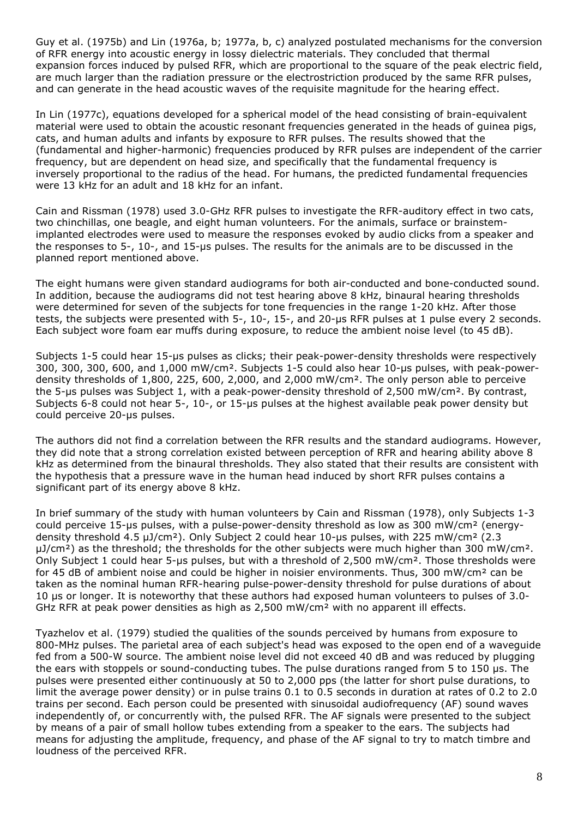Guy et al. (1975b) and Lin (1976a, b; 1977a, b, c) analyzed postulated mechanisms for the conversion of RFR energy into acoustic energy in lossy dielectric materials. They concluded that thermal expansion forces induced by pulsed RFR, which are proportional to the square of the peak electric field, are much larger than the radiation pressure or the electrostriction produced by the same RFR pulses, and can generate in the head acoustic waves of the requisite magnitude for the hearing effect.

In Lin (1977c), equations developed for a spherical model of the head consisting of brain-equivalent material were used to obtain the acoustic resonant frequencies generated in the heads of guinea pigs, cats, and human adults and infants by exposure to RFR pulses. The results showed that the (fundamental and higher-harmonic) frequencies produced by RFR pulses are independent of the carrier frequency, but are dependent on head size, and specifically that the fundamental frequency is inversely proportional to the radius of the head. For humans, the predicted fundamental frequencies were 13 kHz for an adult and 18 kHz for an infant.

Cain and Rissman (1978) used 3.0-GHz RFR pulses to investigate the RFR-auditory effect in two cats, two chinchillas, one beagle, and eight human volunteers. For the animals, surface or brainstemimplanted electrodes were used to measure the responses evoked by audio clicks from a speaker and the responses to 5-, 10-, and 15-µs pulses. The results for the animals are to be discussed in the planned report mentioned above.

The eight humans were given standard audiograms for both air-conducted and bone-conducted sound. In addition, because the audiograms did not test hearing above 8 kHz, binaural hearing thresholds were determined for seven of the subjects for tone frequencies in the range 1-20 kHz. After those tests, the subjects were presented with 5-, 10-, 15-, and 20-µs RFR pulses at 1 pulse every 2 seconds. Each subject wore foam ear muffs during exposure, to reduce the ambient noise level (to 45 dB).

Subjects 1-5 could hear 15-us pulses as clicks; their peak-power-density thresholds were respectively 300, 300, 300, 600, and 1,000 mW/cm². Subjects 1-5 could also hear 10-µs pulses, with peak-powerdensity thresholds of 1,800, 225, 600, 2,000, and 2,000 mW/cm². The only person able to perceive the 5-µs pulses was Subject 1, with a peak-power-density threshold of 2,500 mW/cm². By contrast, Subjects 6-8 could not hear 5-, 10-, or 15-µs pulses at the highest available peak power density but could perceive 20-µs pulses.

The authors did not find a correlation between the RFR results and the standard audiograms. However, they did note that a strong correlation existed between perception of RFR and hearing ability above 8 kHz as determined from the binaural thresholds. They also stated that their results are consistent with the hypothesis that a pressure wave in the human head induced by short RFR pulses contains a significant part of its energy above 8 kHz.

In brief summary of the study with human volunteers by Cain and Rissman (1978), only Subjects 1-3 could perceive 15-µs pulses, with a pulse-power-density threshold as low as 300 mW/cm² (energydensity threshold 4.5 µJ/cm²). Only Subject 2 could hear 10-µs pulses, with 225 mW/cm² (2.3 µJ/cm<sup>2</sup>) as the threshold; the thresholds for the other subjects were much higher than 300 mW/cm<sup>2</sup>. Only Subject 1 could hear 5-us pulses, but with a threshold of 2,500 mW/cm<sup>2</sup>. Those thresholds were for 45 dB of ambient noise and could be higher in noisier environments. Thus, 300 mW/cm² can be taken as the nominal human RFR-hearing pulse-power-density threshold for pulse durations of about 10 µs or longer. It is noteworthy that these authors had exposed human volunteers to pulses of 3.0- GHz RFR at peak power densities as high as 2,500 mW/cm² with no apparent ill effects.

Tyazhelov et al. (1979) studied the qualities of the sounds perceived by humans from exposure to 800-MHz pulses. The parietal area of each subject's head was exposed to the open end of a waveguide fed from a 500-W source. The ambient noise level did not exceed 40 dB and was reduced by plugging the ears with stoppels or sound-conducting tubes. The pulse durations ranged from 5 to 150 us. The pulses were presented either continuously at 50 to 2,000 pps (the latter for short pulse durations, to limit the average power density) or in pulse trains 0.1 to 0.5 seconds in duration at rates of 0.2 to 2.0 trains per second. Each person could be presented with sinusoidal audiofrequency (AF) sound waves independently of, or concurrently with, the pulsed RFR. The AF signals were presented to the subject by means of a pair of small hollow tubes extending from a speaker to the ears. The subjects had means for adjusting the amplitude, frequency, and phase of the AF signal to try to match timbre and loudness of the perceived RFR.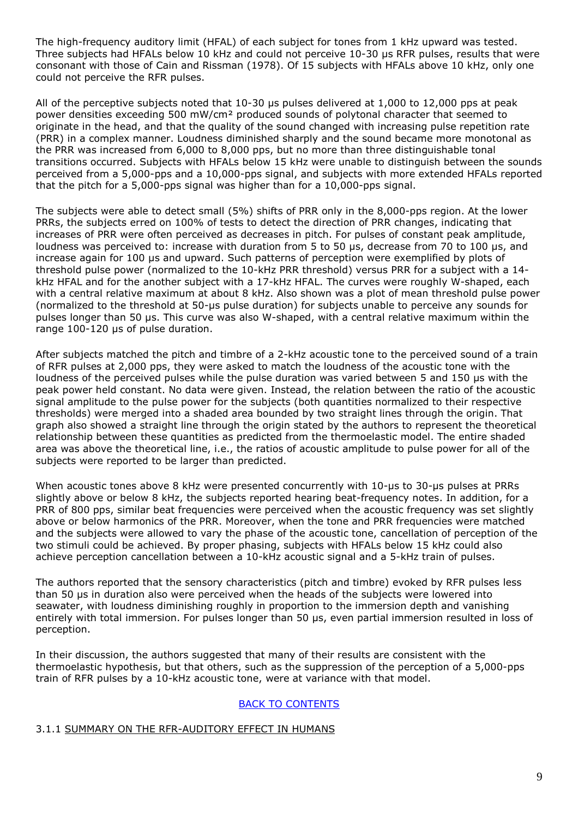The high-frequency auditory limit (HFAL) of each subject for tones from 1 kHz upward was tested. Three subjects had HFALs below 10 kHz and could not perceive 10-30 µs RFR pulses, results that were consonant with those of Cain and Rissman (1978). Of 15 subjects with HFALs above 10 kHz, only one could not perceive the RFR pulses.

All of the perceptive subjects noted that 10-30 µs pulses delivered at 1,000 to 12,000 pps at peak power densities exceeding 500 mW/cm² produced sounds of polytonal character that seemed to originate in the head, and that the quality of the sound changed with increasing pulse repetition rate (PRR) in a complex manner. Loudness diminished sharply and the sound became more monotonal as the PRR was increased from 6,000 to 8,000 pps, but no more than three distinguishable tonal transitions occurred. Subjects with HFALs below 15 kHz were unable to distinguish between the sounds perceived from a 5,000-pps and a 10,000-pps signal, and subjects with more extended HFALs reported that the pitch for a 5,000-pps signal was higher than for a 10,000-pps signal.

The subjects were able to detect small (5%) shifts of PRR only in the 8,000-pps region. At the lower PRRs, the subjects erred on 100% of tests to detect the direction of PRR changes, indicating that increases of PRR were often perceived as decreases in pitch. For pulses of constant peak amplitude, loudness was perceived to: increase with duration from 5 to 50 µs, decrease from 70 to 100 µs, and increase again for 100 µs and upward. Such patterns of perception were exemplified by plots of threshold pulse power (normalized to the 10-kHz PRR threshold) versus PRR for a subject with a 14 kHz HFAL and for the another subject with a 17-kHz HFAL. The curves were roughly W-shaped, each with a central relative maximum at about 8 kHz. Also shown was a plot of mean threshold pulse power (normalized to the threshold at 50-µs pulse duration) for subjects unable to perceive any sounds for pulses longer than 50 µs. This curve was also W-shaped, with a central relative maximum within the range 100-120 µs of pulse duration.

After subjects matched the pitch and timbre of a 2-kHz acoustic tone to the perceived sound of a train of RFR pulses at 2,000 pps, they were asked to match the loudness of the acoustic tone with the loudness of the perceived pulses while the pulse duration was varied between 5 and 150 us with the peak power held constant. No data were given. Instead, the relation between the ratio of the acoustic signal amplitude to the pulse power for the subjects (both quantities normalized to their respective thresholds) were merged into a shaded area bounded by two straight lines through the origin. That graph also showed a straight line through the origin stated by the authors to represent the theoretical relationship between these quantities as predicted from the thermoelastic model. The entire shaded area was above the theoretical line, i.e., the ratios of acoustic amplitude to pulse power for all of the subjects were reported to be larger than predicted.

When acoustic tones above 8 kHz were presented concurrently with 10-us to 30-us pulses at PRRs slightly above or below 8 kHz, the subjects reported hearing beat-frequency notes. In addition, for a PRR of 800 pps, similar beat frequencies were perceived when the acoustic frequency was set slightly above or below harmonics of the PRR. Moreover, when the tone and PRR frequencies were matched and the subjects were allowed to vary the phase of the acoustic tone, cancellation of perception of the two stimuli could be achieved. By proper phasing, subjects with HFALs below 15 kHz could also achieve perception cancellation between a 10-kHz acoustic signal and a 5-kHz train of pulses.

The authors reported that the sensory characteristics (pitch and timbre) evoked by RFR pulses less than 50 µs in duration also were perceived when the heads of the subjects were lowered into seawater, with loudness diminishing roughly in proportion to the immersion depth and vanishing entirely with total immersion. For pulses longer than 50 µs, even partial immersion resulted in loss of perception.

In their discussion, the authors suggested that many of their results are consistent with the thermoelastic hypothesis, but that others, such as the suppression of the perception of a 5,000-pps train of RFR pulses by a 10-kHz acoustic tone, were at variance with that model.

## BACK TO CONTENTS

## 3.1.1 SUMMARY ON THE RFR-AUDITORY EFFECT IN HUMANS